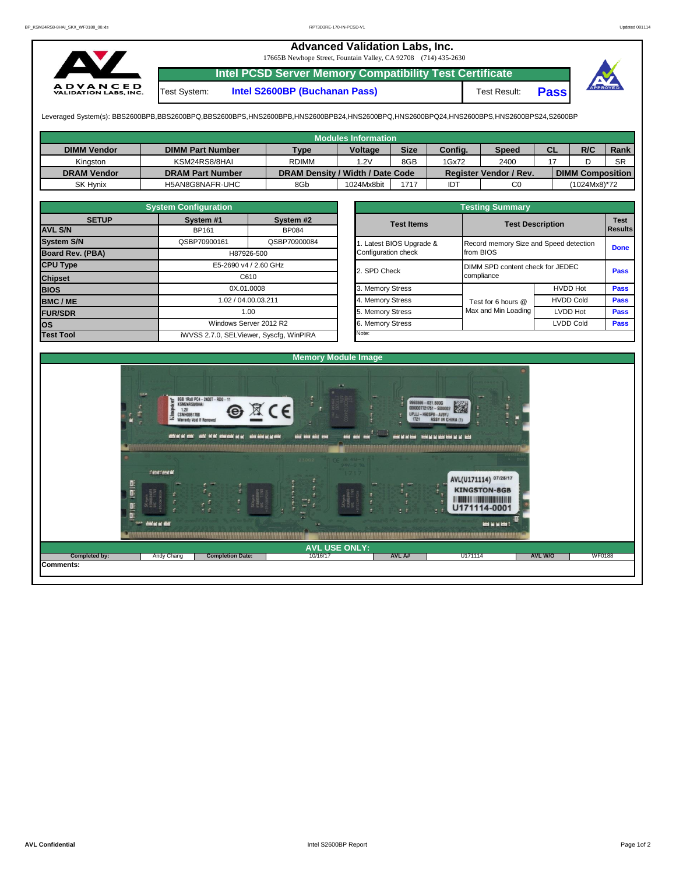## **Advanced Validation Labs, Inc.**

17665B Newhope Street, Fountain Valley, CA 92708 (714) 435-2630



**Intel PCSD Server Memory Compatibility Test Certificate**

Test System: **Intel S2600BP (Buchanan Pass)** Test Result: **Pass**

Leveraged System(s): BBS2600BPB,BBS2600BPQ,BBS2600BPS,HNS2600BPB,HNS2600BPB24,HNS2600BPQ,HNS2600BPQ24,HNS2600BPS,HNS2600BPS24,S2600BP

|                    |                         |                                  | <b>Modules Information</b> |             |            |                        |           |                         |             |
|--------------------|-------------------------|----------------------------------|----------------------------|-------------|------------|------------------------|-----------|-------------------------|-------------|
| <b>DIMM Vendor</b> | <b>DIMM Part Number</b> | <b>Type</b>                      | <b>Voltage</b>             | <b>Size</b> | Config.    | <b>Speed</b>           | <b>CL</b> | R/C                     | <b>Rank</b> |
| Kinaston           | KSM24RS8/8HAI           | <b>RDIMM</b>                     | .2V                        | 8GB         | 1Gx72      | 2400                   |           |                         | <b>SR</b>   |
| <b>DRAM Vendor</b> | <b>DRAM Part Number</b> | DRAM Density / Width / Date Code |                            |             |            | Register Vendor / Rev. |           | <b>DIMM Composition</b> |             |
| <b>SK Hynix</b>    | H5AN8G8NAFR-UHC         | 8Gb                              | 1024Mx8bit                 | 1717        | <b>IDT</b> | C0                     |           | (1024Mx8)*72            |             |

|                   | <b>System Configuration</b>   |                                         | <b>Testing Summary</b> |                       |                                        |                        |             |  |  |  |  |
|-------------------|-------------------------------|-----------------------------------------|------------------------|-----------------------|----------------------------------------|------------------------|-------------|--|--|--|--|
| <b>SETUP</b>      | System #1                     | System #2                               |                        | <b>Test Items</b>     | <b>Test Description</b>                | <b>Test</b><br>Results |             |  |  |  |  |
| <b>AVL S/N</b>    | <b>BP161</b>                  | <b>BP084</b>                            |                        |                       |                                        |                        |             |  |  |  |  |
| <b>System S/N</b> | QSBP70900161                  | QSBP70900084                            |                        | Latest BIOS Upgrade & | Record memory Size and Speed detection |                        | <b>Done</b> |  |  |  |  |
| Board Rev. (PBA)  |                               | H87926-500                              |                        | Configuration check   | from BIOS                              |                        |             |  |  |  |  |
| <b>CPU Type</b>   | E5-2690 v4 / 2.60 GHz<br>C610 |                                         |                        | 2. SPD Check          | DIMM SPD content check for JEDEC       | <b>Pass</b>            |             |  |  |  |  |
| <b>Chipset</b>    |                               |                                         |                        |                       | compliance                             |                        |             |  |  |  |  |
| <b>BIOS</b>       |                               | 0X.01.0008                              |                        | 3. Memory Stress      |                                        | <b>HVDD Hot</b>        | <b>Pass</b> |  |  |  |  |
| <b>BMC/ME</b>     | 1.02 / 04.00.03.211<br>1.00   |                                         |                        | 4. Memory Stress      | Test for 6 hours @                     | <b>HVDD Cold</b>       | Pass        |  |  |  |  |
| <b>FUR/SDR</b>    |                               |                                         |                        | 5. Memory Stress      | Max and Min Loading                    | LVDD Hot               | <b>Pass</b> |  |  |  |  |
| <b>los</b>        |                               | Windows Server 2012 R2                  |                        | 6. Memory Stress      |                                        | <b>LVDD Cold</b>       | <b>Pass</b> |  |  |  |  |
| <b>Test Tool</b>  |                               | iWVSS 2.7.0, SELViewer, Syscfq, WinPIRA |                        | Note:                 |                                        |                        |             |  |  |  |  |

| <b>Testing Summary</b>                          |                                                     |                  |                               |  |  |  |  |  |  |  |
|-------------------------------------------------|-----------------------------------------------------|------------------|-------------------------------|--|--|--|--|--|--|--|
| <b>Test Items</b>                               | <b>Test Description</b>                             |                  | <b>Test</b><br><b>Results</b> |  |  |  |  |  |  |  |
| 1. Latest BIOS Upgrade &<br>Configuration check | Record memory Size and Speed detection<br>from BIOS |                  | <b>Done</b>                   |  |  |  |  |  |  |  |
| 2. SPD Check                                    | DIMM SPD content check for JEDEC<br>compliance      |                  | Pass                          |  |  |  |  |  |  |  |
| 3. Memory Stress                                |                                                     | <b>HVDD Hot</b>  | <b>Pass</b>                   |  |  |  |  |  |  |  |
| 4. Memory Stress                                | Test for 6 hours @                                  | <b>HVDD Cold</b> | <b>Pass</b>                   |  |  |  |  |  |  |  |
| 5. Memory Stress                                | Max and Min Loading                                 | <b>LVDD Hot</b>  | <b>Pass</b>                   |  |  |  |  |  |  |  |
| 6. Memory Stress                                |                                                     | <b>LVDD Cold</b> | <b>Pass</b>                   |  |  |  |  |  |  |  |
| Noto:                                           |                                                     |                  |                               |  |  |  |  |  |  |  |